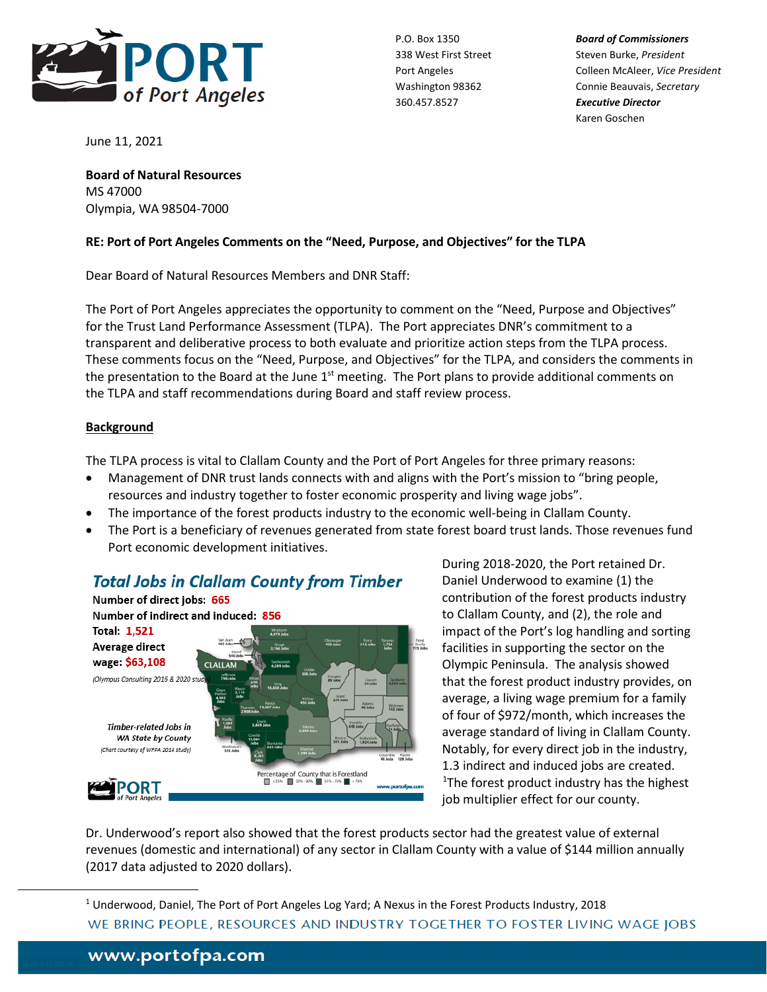

P.O. Box 1350 *Board of Commissioners* 338 West First Street Steven Burke, President Port Angeles Colleen McAleer, *Vice President* Washington 98362 Connie Beauvais, *Secretary* Karen Goschen

June 11, 2021

**Board of Natural Resources** MS 47000 Olympia, WA 98504-7000

#### **RE: Port of Port Angeles Comments on the "Need, Purpose, and Objectives" for the TLPA**

Dear Board of Natural Resources Members and DNR Staff:

The Port of Port Angeles appreciates the opportunity to comment on the "Need, Purpose and Objectives" for the Trust Land Performance Assessment (TLPA). The Port appreciates DNR's commitment to a transparent and deliberative process to both evaluate and prioritize action steps from the TLPA process. These comments focus on the "Need, Purpose, and Objectives" for the TLPA, and considers the comments in the presentation to the Board at the June  $1<sup>st</sup>$  meeting. The Port plans to provide additional comments on the TLPA and staff recommendations during Board and staff review process.

## **Background**

The TLPA process is vital to Clallam County and the Port of Port Angeles for three primary reasons:

- Management of DNR trust lands connects with and aligns with the Port's mission to "bring people, resources and industry together to foster economic prosperity and living wage jobs".
- The importance of the forest products industry to the economic well-being in Clallam County.
- The Port is a beneficiary of revenues generated from state forest board trust lands. Those revenues fund Port economic development initiatives.



During 2018-2020, the Port retained Dr. Daniel Underwood to examine (1) the contribution of the forest products industry to Clallam County, and (2), the role and impact of the Port's log handling and sorting facilities in supporting the sector on the Olympic Peninsula. The analysis showed that the forest product industry provides, on average, a living wage premium for a family of four of \$972/month, which increases the average standard of living in Clallam County. Notably, for every direct job in the industry, [1](#page-0-0).3 indirect and induced jobs are created. <sup>1</sup>The forest product industry has the highest job multiplier effect for our county.

Dr. Underwood's report also showed that the forest products sector had the greatest value of external revenues (domestic and international) of any sector in Clallam County with a value of \$144 million annually (2017 data adjusted to 2020 dollars).

<span id="page-0-0"></span><sup>1</sup> Underwood, Daniel, The Port of Port Angeles Log Yard; A Nexus in the Forest Products Industry, 2018WE BRING PEOPLE, RESOURCES AND INDUSTRY TOGETHER TO FOSTER LIVING WAGE JOBS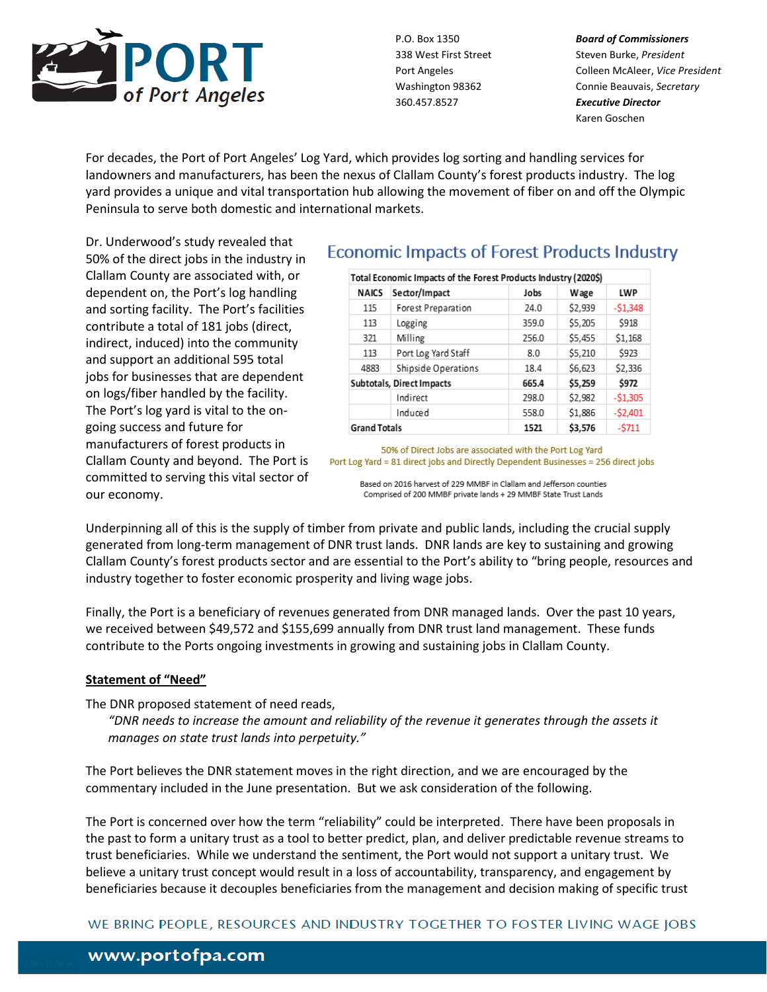

P.O. Box 1350 *Board of Commissioners* 338 West First Street Steven Burke, President Port Angeles Colleen McAleer, *Vice President* Washington 98362 Connie Beauvais, *Secretary* Karen Goschen

For decades, the Port of Port Angeles' Log Yard, which provides log sorting and handling services for landowners and manufacturers, has been the nexus of Clallam County's forest products industry. The log yard provides a unique and vital transportation hub allowing the movement of fiber on and off the Olympic Peninsula to serve both domestic and international markets.

Dr. Underwood's study revealed that 50% of the direct jobs in the industry in Clallam County are associated with, or dependent on, the Port's log handling and sorting facility. The Port's facilities contribute a total of 181 jobs (direct, indirect, induced) into the community and support an additional 595 total jobs for businesses that are dependent on logs/fiber handled by the facility. The Port's log yard is vital to the ongoing success and future for manufacturers of forest products in Clallam County and beyond. The Port is committed to serving this vital sector of our economy.

# **Economic Impacts of Forest Products Industry**

|                           | Total Economic Impacts of the Forest Products Industry (2020\$) |       |             |            |
|---------------------------|-----------------------------------------------------------------|-------|-------------|------------|
| <b>NAICS</b>              | Sector/Impact                                                   | Jobs  | <b>Wage</b> | <b>LWP</b> |
| 115                       | Forest Preparation                                              | 24.0  | \$2,939     | $-51,348$  |
| 113                       | Logging                                                         | 359.0 | \$5,205     | \$918      |
| 321                       | Milling                                                         | 256.0 | \$5,455     | \$1,168    |
| 113                       | Port Log Yard Staff                                             | 8.0   | \$5,210     | \$923      |
| 4883                      | Shipside Operations                                             | 18.4  | \$6,623     | \$2,336    |
| Subtotals, Direct Impacts |                                                                 | 665.4 | \$5.259     | \$972      |
|                           | Indirect                                                        | 298.0 | \$2,982     | $-51,305$  |
|                           | Induced                                                         | 558.0 | \$1,886     | $-52,401$  |
| <b>Grand Totals</b>       |                                                                 | 1521  | \$3.576     | $-5711$    |

50% of Direct Jobs are associated with the Port Log Yard Port Log Yard = 81 direct jobs and Directly Dependent Businesses = 256 direct jobs

Based on 2016 harvest of 229 MMBF in Clallam and Jefferson counties Comprised of 200 MMBF private lands + 29 MMBF State Trust Lands

Underpinning all of this is the supply of timber from private and public lands, including the crucial supply generated from long-term management of DNR trust lands. DNR lands are key to sustaining and growing Clallam County's forest products sector and are essential to the Port's ability to "bring people, resources and industry together to foster economic prosperity and living wage jobs.

Finally, the Port is a beneficiary of revenues generated from DNR managed lands. Over the past 10 years, we received between \$49,572 and \$155,699 annually from DNR trust land management. These funds contribute to the Ports ongoing investments in growing and sustaining jobs in Clallam County.

#### **Statement of "Need"**

The DNR proposed statement of need reads,

*"DNR needs to increase the amount and reliability of the revenue it generates through the assets it manages on state trust lands into perpetuity."* 

The Port believes the DNR statement moves in the right direction, and we are encouraged by the commentary included in the June presentation. But we ask consideration of the following.

The Port is concerned over how the term "reliability" could be interpreted. There have been proposals in the past to form a unitary trust as a tool to better predict, plan, and deliver predictable revenue streams to trust beneficiaries. While we understand the sentiment, the Port would not support a unitary trust. We believe a unitary trust concept would result in a loss of accountability, transparency, and engagement by beneficiaries because it decouples beneficiaries from the management and decision making of specific trust

WE BRING PEOPLE, RESOURCES AND INDUSTRY TOGETHER TO FOSTER LIVING WAGE JOBS

# www.portofpa.com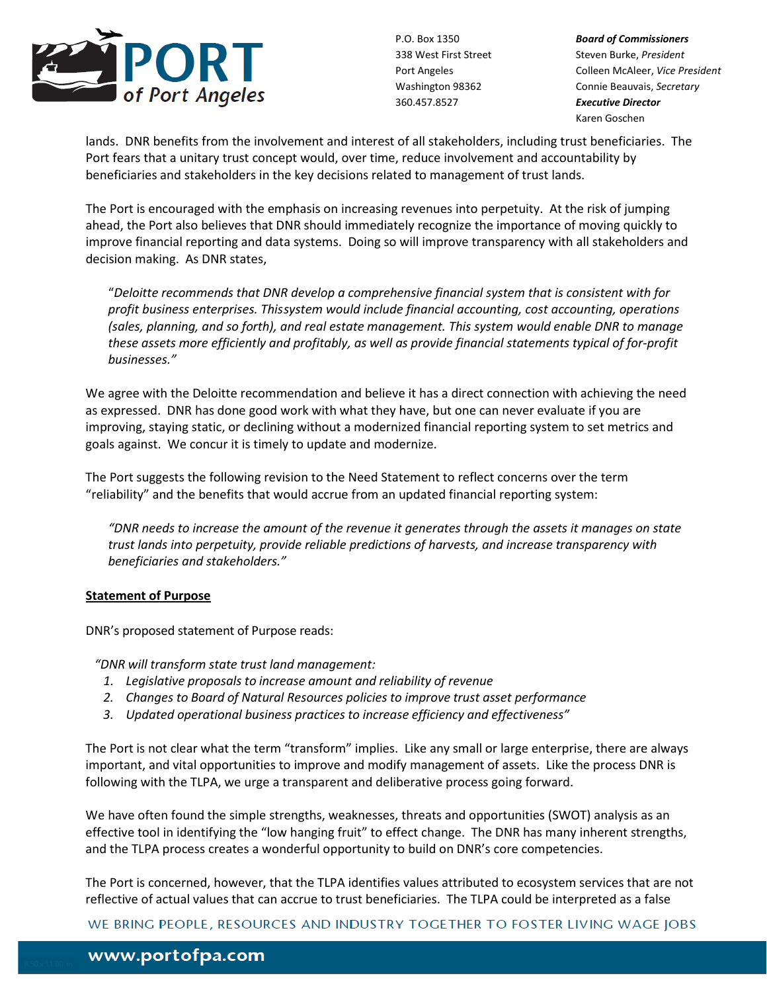

P.O. Box 1350 *Board of Commissioners* 338 West First Street Steven Burke, President Port Angeles Colleen McAleer, *Vice President* Washington 98362 Connie Beauvais, *Secretary* Karen Goschen

lands. DNR benefits from the involvement and interest of all stakeholders, including trust beneficiaries. The Port fears that a unitary trust concept would, over time, reduce involvement and accountability by beneficiaries and stakeholders in the key decisions related to management of trust lands.

The Port is encouraged with the emphasis on increasing revenues into perpetuity. At the risk of jumping ahead, the Port also believes that DNR should immediately recognize the importance of moving quickly to improve financial reporting and data systems. Doing so will improve transparency with all stakeholders and decision making. As DNR states,

"*Deloitte recommends that DNR develop a comprehensive financial system that is consistent with for profit business enterprises. This system would include financial accounting, cost accounting, operations (sales, planning, and so forth), and real estate management. This system would enable DNR to manage these assets more efficiently and profitably, as well as provide financial statements typical of for-profit businesses."*

We agree with the Deloitte recommendation and believe it has a direct connection with achieving the need as expressed. DNR has done good work with what they have, but one can never evaluate if you are improving, staying static, or declining without a modernized financial reporting system to set metrics and goals against. We concur it is timely to update and modernize.

The Port suggests the following revision to the Need Statement to reflect concerns over the term "reliability" and the benefits that would accrue from an updated financial reporting system:

*"DNR needs to increase the amount of the revenue it generates through the assets it manages on state trust lands into perpetuity, provide reliable predictions of harvests, and increase transparency with beneficiaries and stakeholders."*

# **Statement of Purpose**

DNR's proposed statement of Purpose reads:

*"DNR will transform state trust land management:*

- *1. Legislative proposals to increase amount and reliability of revenue*
- *2. Changes to Board of Natural Resources policies to improve trust asset performance*
- *3. Updated operational business practices to increase efficiency and effectiveness"*

The Port is not clear what the term "transform" implies. Like any small or large enterprise, there are always important, and vital opportunities to improve and modify management of assets. Like the process DNR is following with the TLPA, we urge a transparent and deliberative process going forward.

We have often found the simple strengths, weaknesses, threats and opportunities (SWOT) analysis as an effective tool in identifying the "low hanging fruit" to effect change. The DNR has many inherent strengths, and the TLPA process creates a wonderful opportunity to build on DNR's core competencies.

The Port is concerned, however, that the TLPA identifies values attributed to ecosystem services that are not reflective of actual values that can accrue to trust beneficiaries. The TLPA could be interpreted as a false

WE BRING PEOPLE, RESOURCES AND INDUSTRY TOGETHER TO FOSTER LIVING WAGE JOBS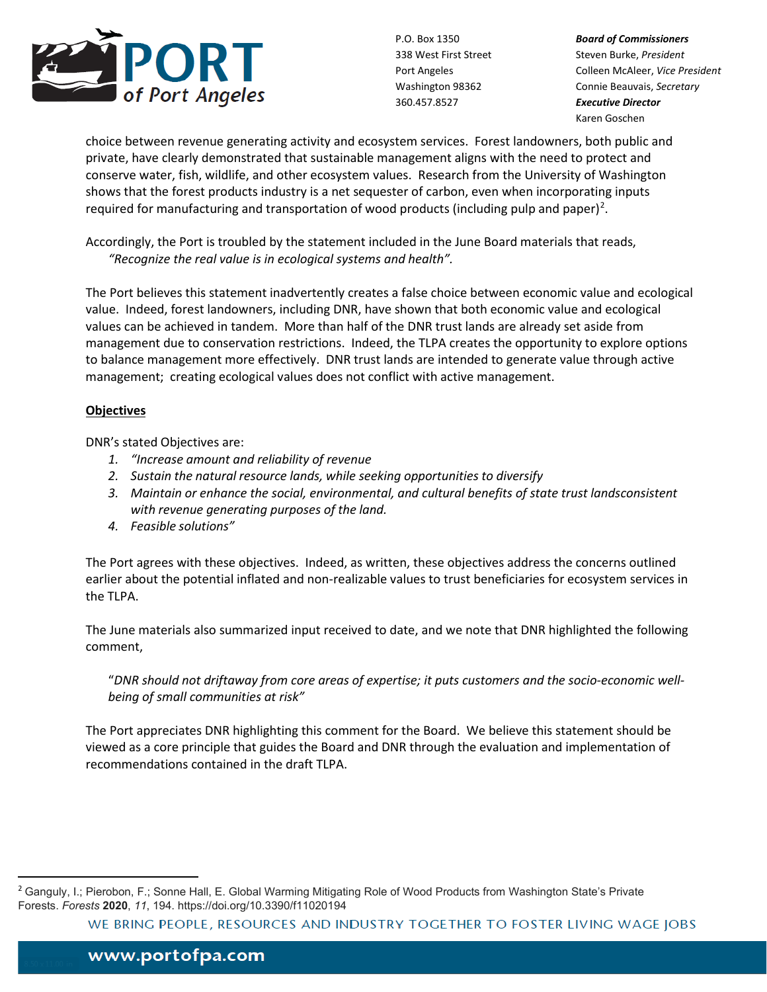

P.O. Box 1350 *Board of Commissioners* 338 West First Street Steven Burke, President Port Angeles Colleen McAleer, *Vice President* Washington 98362 Connie Beauvais, *Secretary* Karen Goschen

choice between revenue generating activity and ecosystem services. Forest landowners, both public and private, have clearly demonstrated that sustainable management aligns with the need to protect and conserve water, fish, wildlife, and other ecosystem values. Research from the University of Washington shows that the forest products industry is a net sequester of carbon, even when incorporating inputs required for manufacturing and transportation of wood products (including pulp and paper)<sup>[2](#page-3-0)</sup>.

Accordingly, the Port is troubled by the statement included in the June Board materials that reads, *"Recognize the real value is in ecological systems and health".* 

The Port believes this statement inadvertently creates a false choice between economic value and ecological value. Indeed, forest landowners, including DNR, have shown that both economic value and ecological values can be achieved in tandem. More than half of the DNR trust lands are already set aside from management due to conservation restrictions. Indeed, the TLPA creates the opportunity to explore options to balance management more effectively. DNR trust lands are intended to generate value through active management; creating ecological values does not conflict with active management.

## **Objectives**

DNR's stated Objectives are:

- *1. "Increase amount and reliability of revenue*
- *2. Sustain the natural resource lands, while seeking opportunities to diversify*
- *3. Maintain or enhance the social, environmental, and cultural benefits of state trust landsconsistent with revenue generating purposes of the land.*
- *4. Feasible solutions"*

The Port agrees with these objectives. Indeed, as written, these objectives address the concerns outlined earlier about the potential inflated and non-realizable values to trust beneficiaries for ecosystem services in the TLPA.

The June materials also summarized input received to date, and we note that DNR highlighted the following comment,

"*DNR should not driftaway from core areas of expertise; it puts customers and the socio-economic wellbeing of small communities at risk"*

The Port appreciates DNR highlighting this comment for the Board. We believe this statement should be viewed as a core principle that guides the Board and DNR through the evaluation and implementation of recommendations contained in the draft TLPA.

WE BRING PEOPLE, RESOURCES AND INDUSTRY TOGETHER TO FOSTER LIVING WAGE JOBS

<span id="page-3-0"></span><sup>&</sup>lt;sup>2</sup> Ganguly, I.; Pierobon, F.; Sonne Hall, E. Global Warming Mitigating Role of Wood Products from Washington State's Private Forests. *Forests* **2020**, *11*, 194. https://doi.org/10.3390/f11020194